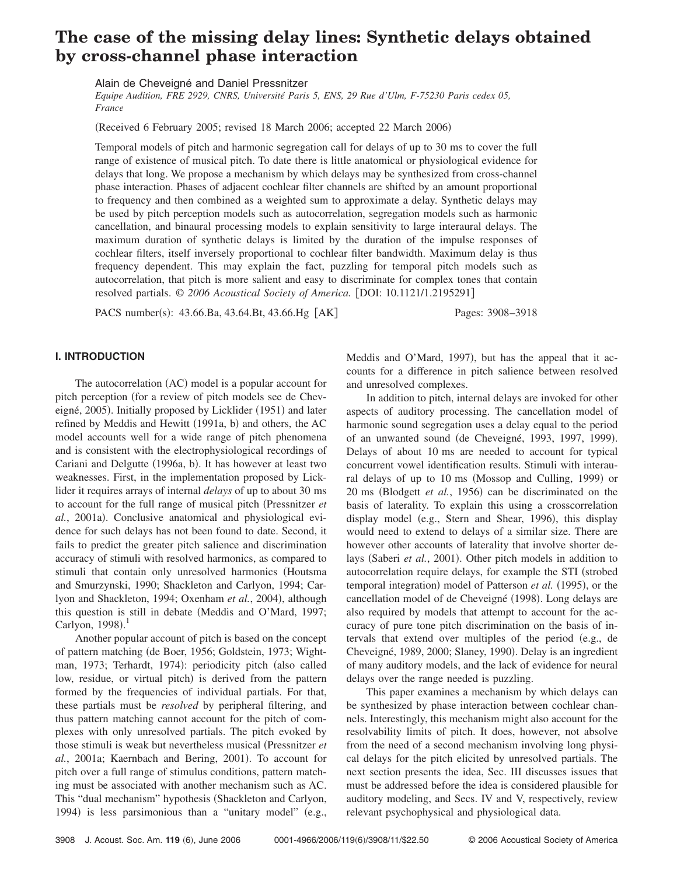# **The case of the missing delay lines: Synthetic delays obtained by cross-channel phase interaction**

Alain de Cheveigné and Daniel Pressnitzer

*Equipe Audition, FRE 2929, CNRS, Université Paris 5, ENS, 29 Rue d'Ulm, F-75230 Paris cedex 05, France*

(Received 6 February 2005; revised 18 March 2006; accepted 22 March 2006)

Temporal models of pitch and harmonic segregation call for delays of up to 30 ms to cover the full range of existence of musical pitch. To date there is little anatomical or physiological evidence for delays that long. We propose a mechanism by which delays may be synthesized from cross-channel phase interaction. Phases of adjacent cochlear filter channels are shifted by an amount proportional to frequency and then combined as a weighted sum to approximate a delay. Synthetic delays may be used by pitch perception models such as autocorrelation, segregation models such as harmonic cancellation, and binaural processing models to explain sensitivity to large interaural delays. The maximum duration of synthetic delays is limited by the duration of the impulse responses of cochlear filters, itself inversely proportional to cochlear filter bandwidth. Maximum delay is thus frequency dependent. This may explain the fact, puzzling for temporal pitch models such as autocorrelation, that pitch is more salient and easy to discriminate for complex tones that contain resolved partials. © 2006 Acoustical Society of America. [DOI: 10.1121/1.2195291]

PACS number(s): 43.66.Ba, 43.64.Bt, 43.66.Hg [AK] Pages: 3908–3918

# **I. INTRODUCTION**

The autocorrelation (AC) model is a popular account for pitch perception (for a review of pitch models see de Cheveigné, 2005). Initially proposed by Licklider (1951) and later refined by Meddis and Hewitt (1991a, b) and others, the AC model accounts well for a wide range of pitch phenomena and is consistent with the electrophysiological recordings of Cariani and Delgutte (1996a, b). It has however at least two weaknesses. First, in the implementation proposed by Licklider it requires arrays of internal *delays* of up to about 30 ms to account for the full range of musical pitch Pressnitzer *et* al., 2001a). Conclusive anatomical and physiological evidence for such delays has not been found to date. Second, it fails to predict the greater pitch salience and discrimination accuracy of stimuli with resolved harmonics, as compared to stimuli that contain only unresolved harmonics (Houtsma and Smurzynski, 1990; Shackleton and Carlyon, 1994; Carlyon and Shackleton, 1994; Oxenham et al., 2004), although this question is still in debate Meddis and O'Mard, 1997; Carlyon,  $1998$ ).<sup>1</sup>

Another popular account of pitch is based on the concept of pattern matching de Boer, 1956; Goldstein, 1973; Wightman, 1973; Terhardt, 1974): periodicity pitch (also called low, residue, or virtual pitch) is derived from the pattern formed by the frequencies of individual partials. For that, these partials must be *resolved* by peripheral filtering, and thus pattern matching cannot account for the pitch of complexes with only unresolved partials. The pitch evoked by those stimuli is weak but nevertheless musical Pressnitzer *et* al., 2001a; Kaernbach and Bering, 2001). To account for pitch over a full range of stimulus conditions, pattern matching must be associated with another mechanism such as AC. This "dual mechanism" hypothesis (Shackleton and Carlyon, 1994) is less parsimonious than a "unitary model" (e.g.,

Meddis and O'Mard, 1997), but has the appeal that it accounts for a difference in pitch salience between resolved and unresolved complexes.

In addition to pitch, internal delays are invoked for other aspects of auditory processing. The cancellation model of harmonic sound segregation uses a delay equal to the period of an unwanted sound (de Cheveigné, 1993, 1997, 1999). Delays of about 10 ms are needed to account for typical concurrent vowel identification results. Stimuli with interaural delays of up to 10 ms (Mossop and Culling, 1999) or 20 ms (Blodgett et al., 1956) can be discriminated on the basis of laterality. To explain this using a crosscorrelation display model (e.g., Stern and Shear, 1996), this display would need to extend to delays of a similar size. There are however other accounts of laterality that involve shorter delays (Saberi et al., 2001). Other pitch models in addition to autocorrelation require delays, for example the STI (strobed temporal integration) model of Patterson et al. (1995), or the cancellation model of de Cheveigné (1998). Long delays are also required by models that attempt to account for the accuracy of pure tone pitch discrimination on the basis of intervals that extend over multiples of the period (e.g., de Cheveigné, 1989, 2000; Slaney, 1990). Delay is an ingredient of many auditory models, and the lack of evidence for neural delays over the range needed is puzzling.

This paper examines a mechanism by which delays can be synthesized by phase interaction between cochlear channels. Interestingly, this mechanism might also account for the resolvability limits of pitch. It does, however, not absolve from the need of a second mechanism involving long physical delays for the pitch elicited by unresolved partials. The next section presents the idea, Sec. III discusses issues that must be addressed before the idea is considered plausible for auditory modeling, and Secs. IV and V, respectively, review relevant psychophysical and physiological data.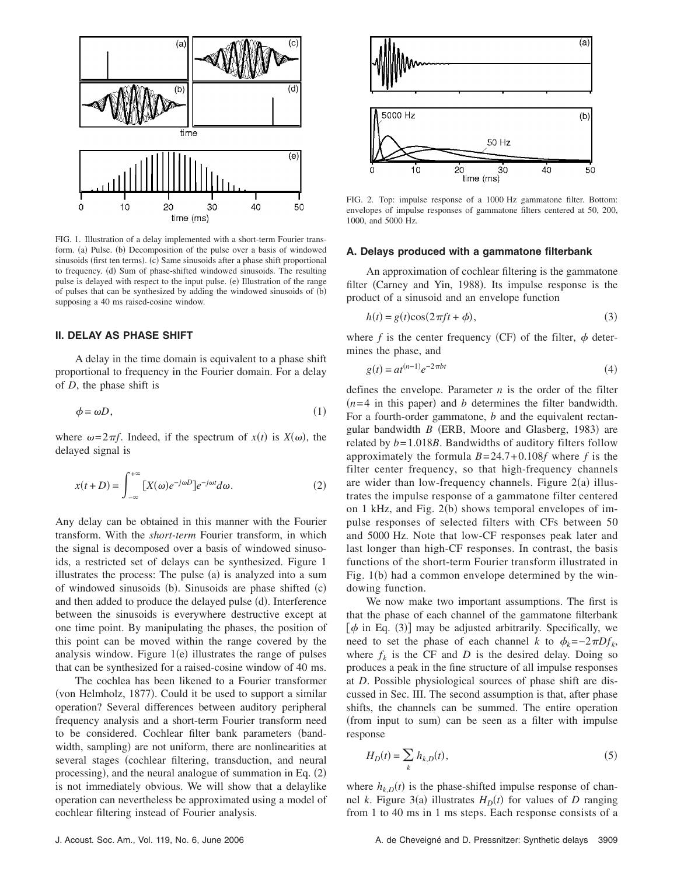

FIG. 1. Illustration of a delay implemented with a short-term Fourier transform. (a) Pulse. (b) Decomposition of the pulse over a basis of windowed sinusoids (first ten terms). (c) Same sinusoids after a phase shift proportional to frequency. (d) Sum of phase-shifted windowed sinusoids. The resulting pulse is delayed with respect to the input pulse. (e) Illustration of the range of pulses that can be synthesized by adding the windowed sinusoids of (b) supposing a 40 ms raised-cosine window.

# **II. DELAY AS PHASE SHIFT**

A delay in the time domain is equivalent to a phase shift proportional to frequency in the Fourier domain. For a delay of *D*, the phase shift is

$$
\phi = \omega D,\tag{1}
$$

where  $\omega = 2\pi f$ . Indeed, if the spectrum of  $x(t)$  is  $X(\omega)$ , the delayed signal is

$$
x(t+D) = \int_{-\infty}^{+\infty} [X(\omega)e^{-j\omega D}]e^{-j\omega t}d\omega.
$$
 (2)

Any delay can be obtained in this manner with the Fourier transform. With the *short-term* Fourier transform, in which the signal is decomposed over a basis of windowed sinusoids, a restricted set of delays can be synthesized. Figure 1 illustrates the process: The pulse (a) is analyzed into a sum of windowed sinusoids (b). Sinusoids are phase shifted (c) and then added to produce the delayed pulse (d). Interference between the sinusoids is everywhere destructive except at one time point. By manipulating the phases, the position of this point can be moved within the range covered by the analysis window. Figure  $1(e)$  illustrates the range of pulses that can be synthesized for a raised-cosine window of 40 ms.

The cochlea has been likened to a Fourier transformer (von Helmholz, 1877). Could it be used to support a similar operation? Several differences between auditory peripheral frequency analysis and a short-term Fourier transform need to be considered. Cochlear filter bank parameters (bandwidth, sampling) are not uniform, there are nonlinearities at several stages (cochlear filtering, transduction, and neural processing), and the neural analogue of summation in Eq. (2) is not immediately obvious. We will show that a delaylike operation can nevertheless be approximated using a model of cochlear filtering instead of Fourier analysis.



FIG. 2. Top: impulse response of a 1000 Hz gammatone filter. Bottom: envelopes of impulse responses of gammatone filters centered at 50, 200, 1000, and 5000 Hz.

#### **A. Delays produced with a gammatone filterbank**

An approximation of cochlear filtering is the gammatone filter (Carney and Yin, 1988). Its impulse response is the product of a sinusoid and an envelope function

$$
h(t) = g(t)\cos(2\pi ft + \phi),\tag{3}
$$

where  $f$  is the center frequency (CF) of the filter,  $\phi$  determines the phase, and

$$
g(t) = at^{(n-1)}e^{-2\pi bt}
$$
 (4)

defines the envelope. Parameter *n* is the order of the filter  $(n=4$  in this paper) and *b* determines the filter bandwidth. For a fourth-order gammatone, *b* and the equivalent rectangular bandwidth  $B$  (ERB, Moore and Glasberg, 1983) are related by *b*= 1.018*B*. Bandwidths of auditory filters follow approximately the formula *B*= 24.7+ 0.108*f* where *f* is the filter center frequency, so that high-frequency channels are wider than low-frequency channels. Figure  $2(a)$  illustrates the impulse response of a gammatone filter centered on 1 kHz, and Fig. 2(b) shows temporal envelopes of impulse responses of selected filters with CFs between 50 and 5000 Hz. Note that low-CF responses peak later and last longer than high-CF responses. In contrast, the basis functions of the short-term Fourier transform illustrated in Fig. 1(b) had a common envelope determined by the windowing function.

We now make two important assumptions. The first is that the phase of each channel of the gammatone filterbank  $[\phi$  in Eq. (3)] may be adjusted arbitrarily. Specifically, we need to set the phase of each channel *k* to  $\phi_k = -2\pi D f_k$ , where  $f_k$  is the CF and *D* is the desired delay. Doing so produces a peak in the fine structure of all impulse responses at *D*. Possible physiological sources of phase shift are discussed in Sec. III. The second assumption is that, after phase shifts, the channels can be summed. The entire operation (from input to sum) can be seen as a filter with impulse response

$$
H_D(t) = \sum_k h_{k,D}(t),\tag{5}
$$

where  $h_{k,D}(t)$  is the phase-shifted impulse response of channel *k*. Figure 3(a) illustrates  $H_D(t)$  for values of *D* ranging from 1 to 40 ms in 1 ms steps. Each response consists of a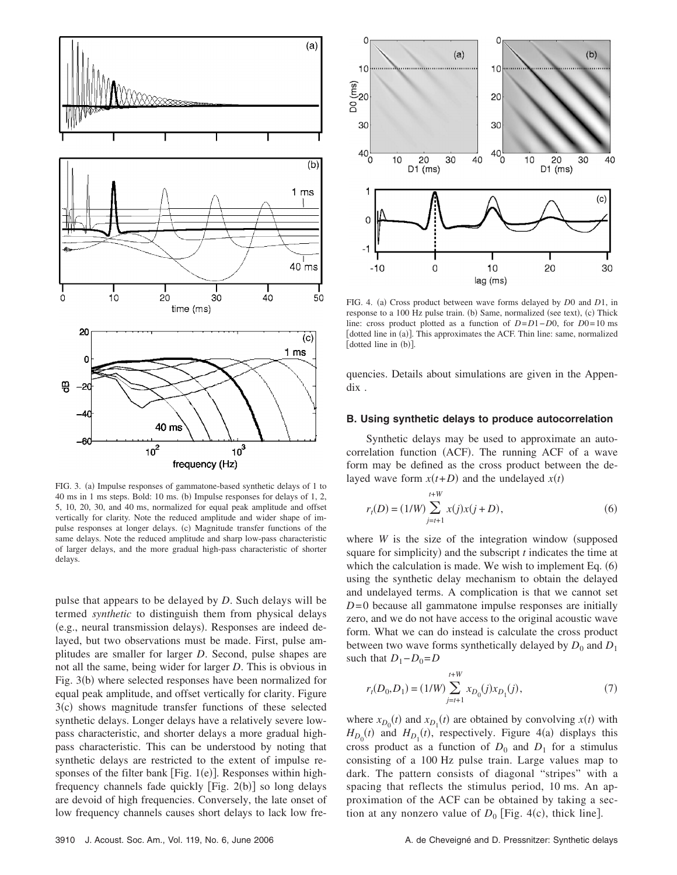

FIG. 3. (a) Impulse responses of gammatone-based synthetic delays of 1 to 40 ms in 1 ms steps. Bold: 10 ms. (b) Impulse responses for delays of 1, 2, 5, 10, 20, 30, and 40 ms, normalized for equal peak amplitude and offset vertically for clarity. Note the reduced amplitude and wider shape of impulse responses at longer delays. (c) Magnitude transfer functions of the same delays. Note the reduced amplitude and sharp low-pass characteristic of larger delays, and the more gradual high-pass characteristic of shorter delays.

pulse that appears to be delayed by *D*. Such delays will be termed *synthetic* to distinguish them from physical delays (e.g., neural transmission delays). Responses are indeed delayed, but two observations must be made. First, pulse amplitudes are smaller for larger *D*. Second, pulse shapes are not all the same, being wider for larger *D*. This is obvious in Fig. 3(b) where selected responses have been normalized for equal peak amplitude, and offset vertically for clarity. Figure 3(c) shows magnitude transfer functions of these selected synthetic delays. Longer delays have a relatively severe lowpass characteristic, and shorter delays a more gradual highpass characteristic. This can be understood by noting that synthetic delays are restricted to the extent of impulse responses of the filter bank [Fig.  $1(e)$ ]. Responses within highfrequency channels fade quickly [Fig. 2(b)] so long delays are devoid of high frequencies. Conversely, the late onset of low frequency channels causes short delays to lack low fre-



FIG. 4. (a) Cross product between wave forms delayed by *D*0 and *D1*, in response to a 100 Hz pulse train. (b) Same, normalized (see text), (c) Thick line: cross product plotted as a function of *D*=*D*1−*D*0, for *D*0= 10 ms [dotted line in (a)]. This approximates the ACF. Thin line: same, normalized [dotted line in (b)].

quencies. Details about simulations are given in the Appendix .

## **B. Using synthetic delays to produce autocorrelation**

Synthetic delays may be used to approximate an autocorrelation function (ACF). The running ACF of a wave form may be defined as the cross product between the delayed wave form  $x(t+D)$  and the undelayed  $x(t)$ 

$$
r_{t}(D) = (1/W) \sum_{j=t+1}^{t+W} x(j)x(j+D),
$$
\n(6)

where  $W$  is the size of the integration window (supposed square for simplicity) and the subscript  $t$  indicates the time at which the calculation is made. We wish to implement Eq.  $(6)$ using the synthetic delay mechanism to obtain the delayed and undelayed terms. A complication is that we cannot set *D*=0 because all gammatone impulse responses are initially zero, and we do not have access to the original acoustic wave form. What we can do instead is calculate the cross product between two wave forms synthetically delayed by  $D_0$  and  $D_1$ such that  $D_1 - D_0 = D$ 

$$
r_t(D_0, D_1) = (1/W) \sum_{j=t+1}^{t+W} x_{D_0}(j)x_{D_1}(j),
$$
\n(7)

where  $x_{D_0}(t)$  and  $x_{D_1}(t)$  are obtained by convolving  $x(t)$  with  $H_{D_0}(t)$  and  $H_{D_1}(t)$ , respectively. Figure 4(a) displays this cross product as a function of  $D_0$  and  $D_1$  for a stimulus consisting of a 100 Hz pulse train. Large values map to dark. The pattern consists of diagonal "stripes" with a spacing that reflects the stimulus period, 10 ms. An approximation of the ACF can be obtained by taking a section at any nonzero value of  $D_0$  [Fig. 4(c), thick line].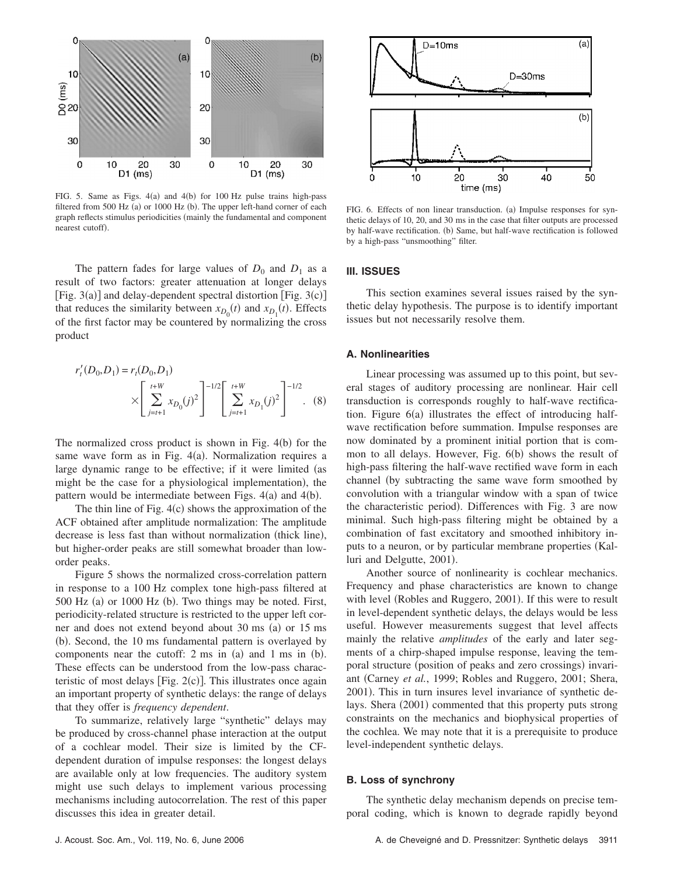

FIG. 5. Same as Figs.  $4(a)$  and  $4(b)$  for 100 Hz pulse trains high-pass filtered from 500 Hz (a) or 1000 Hz (b). The upper left-hand corner of each graph reflects stimulus periodicities (mainly the fundamental and component nearest cutoff).

The pattern fades for large values of  $D_0$  and  $D_1$  as a result of two factors: greater attenuation at longer delays [Fig.  $3(a)$ ] and delay-dependent spectral distortion [Fig.  $3(c)$ ] that reduces the similarity between  $x_{D_0}(t)$  and  $x_{D_1}(t)$ . Effects of the first factor may be countered by normalizing the cross product

$$
r'_{t}(D_0, D_1) = r_{t}(D_0, D_1)
$$
  
 
$$
\times \left[ \sum_{j=t+1}^{t+W} x_{D_0}(j)^2 \right]^{-1/2} \left[ \sum_{j=t+1}^{t+W} x_{D_1}(j)^2 \right]^{-1/2}.
$$
 (8)

The normalized cross product is shown in Fig.  $4(b)$  for the same wave form as in Fig. 4(a). Normalization requires a large dynamic range to be effective; if it were limited (as might be the case for a physiological implementation), the pattern would be intermediate between Figs.  $4(a)$  and  $4(b)$ .

The thin line of Fig.  $4(c)$  shows the approximation of the ACF obtained after amplitude normalization: The amplitude decrease is less fast than without normalization (thick line), but higher-order peaks are still somewhat broader than loworder peaks.

Figure 5 shows the normalized cross-correlation pattern in response to a 100 Hz complex tone high-pass filtered at 500 Hz (a) or 1000 Hz (b). Two things may be noted. First, periodicity-related structure is restricted to the upper left corner and does not extend beyond about 30 ms (a) or 15 ms (b). Second, the 10 ms fundamental pattern is overlayed by components near the cutoff:  $2 \text{ ms in (a) and } 1 \text{ ms in (b).}$ These effects can be understood from the low-pass characteristic of most delays [Fig.  $2(c)$ ]. This illustrates once again an important property of synthetic delays: the range of delays that they offer is *frequency dependent*.

To summarize, relatively large "synthetic" delays may be produced by cross-channel phase interaction at the output of a cochlear model. Their size is limited by the CFdependent duration of impulse responses: the longest delays are available only at low frequencies. The auditory system might use such delays to implement various processing mechanisms including autocorrelation. The rest of this paper discusses this idea in greater detail.



FIG. 6. Effects of non linear transduction. (a) Impulse responses for synthetic delays of 10, 20, and 30 ms in the case that filter outputs are processed by half-wave rectification. (b) Same, but half-wave rectification is followed by a high-pass "unsmoothing" filter.

#### **III. ISSUES**

This section examines several issues raised by the synthetic delay hypothesis. The purpose is to identify important issues but not necessarily resolve them.

## **A. Nonlinearities**

Linear processing was assumed up to this point, but several stages of auditory processing are nonlinear. Hair cell transduction is corresponds roughly to half-wave rectification. Figure 6(a) illustrates the effect of introducing halfwave rectification before summation. Impulse responses are now dominated by a prominent initial portion that is common to all delays. However, Fig. 6(b) shows the result of high-pass filtering the half-wave rectified wave form in each channel (by subtracting the same wave form smoothed by convolution with a triangular window with a span of twice the characteristic period). Differences with Fig. 3 are now minimal. Such high-pass filtering might be obtained by a combination of fast excitatory and smoothed inhibitory inputs to a neuron, or by particular membrane properties (Kalluri and Delgutte, 2001).

Another source of nonlinearity is cochlear mechanics. Frequency and phase characteristics are known to change with level (Robles and Ruggero, 2001). If this were to result in level-dependent synthetic delays, the delays would be less useful. However measurements suggest that level affects mainly the relative *amplitudes* of the early and later segments of a chirp-shaped impulse response, leaving the temporal structure (position of peaks and zero crossings) invariant Carney *et al.*, 1999; Robles and Ruggero, 2001; Shera, 2001). This in turn insures level invariance of synthetic delays. Shera (2001) commented that this property puts strong constraints on the mechanics and biophysical properties of the cochlea. We may note that it is a prerequisite to produce level-independent synthetic delays.

#### **B. Loss of synchrony**

The synthetic delay mechanism depends on precise temporal coding, which is known to degrade rapidly beyond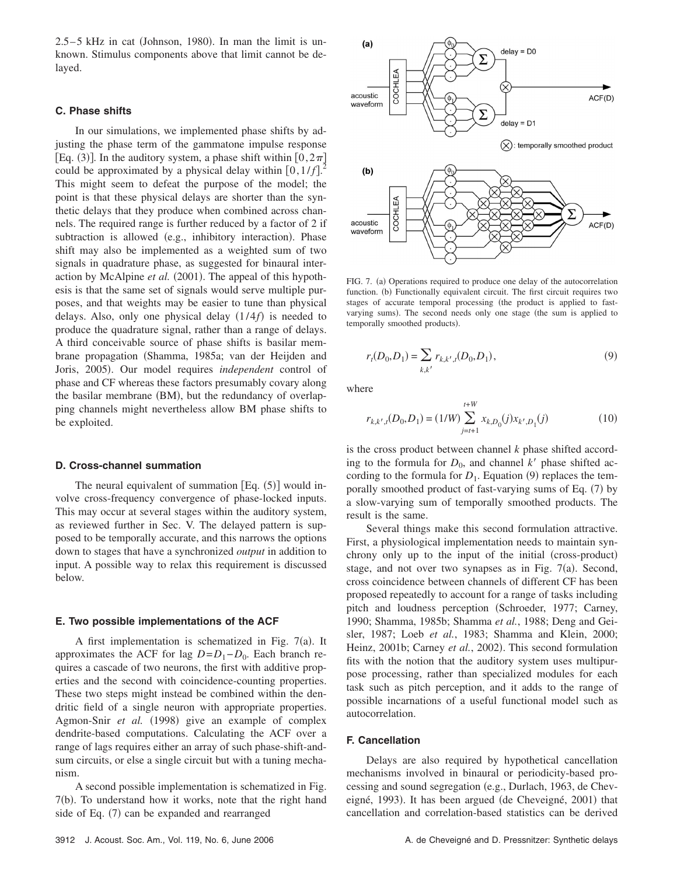$2.5-5$  kHz in cat (Johnson, 1980). In man the limit is unknown. Stimulus components above that limit cannot be delayed.

## **C. Phase shifts**

In our simulations, we implemented phase shifts by adjusting the phase term of the gammatone impulse response [Eq. (3)]. In the auditory system, a phase shift within  $[0,2\pi]$ could be approximated by a physical delay within  $[0, 1/f]$ .<sup>2</sup> This might seem to defeat the purpose of the model; the point is that these physical delays are shorter than the synthetic delays that they produce when combined across channels. The required range is further reduced by a factor of 2 if subtraction is allowed (e.g., inhibitory interaction). Phase shift may also be implemented as a weighted sum of two signals in quadrature phase, as suggested for binaural interaction by McAlpine et al. (2001). The appeal of this hypothesis is that the same set of signals would serve multiple purposes, and that weights may be easier to tune than physical delays. Also, only one physical delay  $(1/4f)$  is needed to produce the quadrature signal, rather than a range of delays. A third conceivable source of phase shifts is basilar membrane propagation (Shamma, 1985a; van der Heijden and Joris, 2005). Our model requires *independent* control of phase and CF whereas these factors presumably covary along the basilar membrane (BM), but the redundancy of overlapping channels might nevertheless allow BM phase shifts to be exploited.

#### **D. Cross-channel summation**

The neural equivalent of summation  $[Eq. (5)]$  would involve cross-frequency convergence of phase-locked inputs. This may occur at several stages within the auditory system, as reviewed further in Sec. V. The delayed pattern is supposed to be temporally accurate, and this narrows the options down to stages that have a synchronized *output* in addition to input. A possible way to relax this requirement is discussed below.

#### **E. Two possible implementations of the ACF**

A first implementation is schematized in Fig.  $7(a)$ . It approximates the ACF for lag  $D = D_1 - D_0$ . Each branch requires a cascade of two neurons, the first with additive properties and the second with coincidence-counting properties. These two steps might instead be combined within the dendritic field of a single neuron with appropriate properties. Agmon-Snir et al. (1998) give an example of complex dendrite-based computations. Calculating the ACF over a range of lags requires either an array of such phase-shift-andsum circuits, or else a single circuit but with a tuning mechanism.

A second possible implementation is schematized in Fig. 7(b). To understand how it works, note that the right hand side of Eq. (7) can be expanded and rearranged



FIG. 7. (a) Operations required to produce one delay of the autocorrelation function. (b) Functionally equivalent circuit. The first circuit requires two stages of accurate temporal processing (the product is applied to fastvarying sums). The second needs only one stage (the sum is applied to temporally smoothed products).

$$
r_t(D_0, D_1) = \sum_{k,k'} r_{k,k',t}(D_0, D_1),
$$
\n(9)

where

$$
r_{k,k',t}(D_0, D_1) = (1/W) \sum_{j=t+1}^{t+W} x_{k,D_0}(j) x_{k',D_1}(j)
$$
(10)

is the cross product between channel *k* phase shifted according to the formula for  $D_0$ , and channel k' phase shifted according to the formula for  $D_1$ . Equation (9) replaces the temporally smoothed product of fast-varying sums of Eq. (7) by a slow-varying sum of temporally smoothed products. The result is the same.

Several things make this second formulation attractive. First, a physiological implementation needs to maintain synchrony only up to the input of the initial (cross-product) stage, and not over two synapses as in Fig.  $7(a)$ . Second, cross coincidence between channels of different CF has been proposed repeatedly to account for a range of tasks including pitch and loudness perception (Schroeder, 1977; Carney, 1990; Shamma, 1985b; Shamma *et al.*, 1988; Deng and Geisler, 1987; Loeb *et al.*, 1983; Shamma and Klein, 2000; Heinz, 2001b; Carney et al., 2002). This second formulation fits with the notion that the auditory system uses multipurpose processing, rather than specialized modules for each task such as pitch perception, and it adds to the range of possible incarnations of a useful functional model such as autocorrelation.

# **F. Cancellation**

Delays are also required by hypothetical cancellation mechanisms involved in binaural or periodicity-based processing and sound segregation (e.g., Durlach, 1963, de Cheveigné, 1993). It has been argued (de Cheveigné, 2001) that cancellation and correlation-based statistics can be derived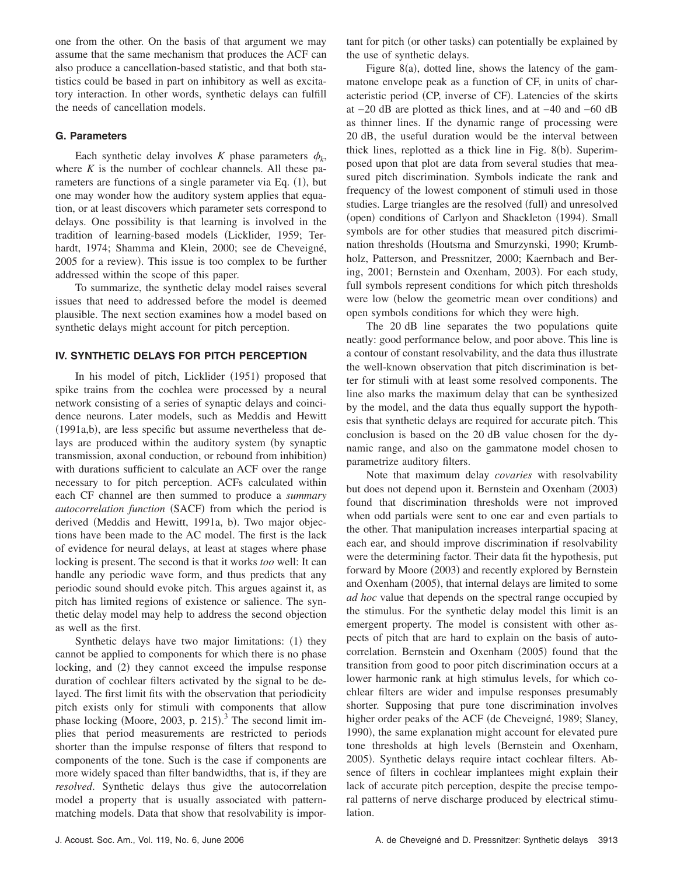one from the other. On the basis of that argument we may assume that the same mechanism that produces the ACF can also produce a cancellation-based statistic, and that both statistics could be based in part on inhibitory as well as excitatory interaction. In other words, synthetic delays can fulfill the needs of cancellation models.

# **G. Parameters**

Each synthetic delay involves *K* phase parameters  $\phi_k$ , where *K* is the number of cochlear channels. All these parameters are functions of a single parameter via Eq. (1), but one may wonder how the auditory system applies that equation, or at least discovers which parameter sets correspond to delays. One possibility is that learning is involved in the tradition of learning-based models Licklider, 1959; Terhardt, 1974; Shamma and Klein, 2000; see de Cheveigné, 2005 for a review). This issue is too complex to be further addressed within the scope of this paper.

To summarize, the synthetic delay model raises several issues that need to addressed before the model is deemed plausible. The next section examines how a model based on synthetic delays might account for pitch perception.

# **IV. SYNTHETIC DELAYS FOR PITCH PERCEPTION**

In his model of pitch, Licklider (1951) proposed that spike trains from the cochlea were processed by a neural network consisting of a series of synaptic delays and coincidence neurons. Later models, such as Meddis and Hewitt (1991a,b), are less specific but assume nevertheless that delays are produced within the auditory system (by synaptic transmission, axonal conduction, or rebound from inhibition) with durations sufficient to calculate an ACF over the range necessary to for pitch perception. ACFs calculated within each CF channel are then summed to produce a *summary* autocorrelation function (SACF) from which the period is derived (Meddis and Hewitt, 1991a, b). Two major objections have been made to the AC model. The first is the lack of evidence for neural delays, at least at stages where phase locking is present. The second is that it works *too* well: It can handle any periodic wave form, and thus predicts that any periodic sound should evoke pitch. This argues against it, as pitch has limited regions of existence or salience. The synthetic delay model may help to address the second objection as well as the first.

Synthetic delays have two major limitations: (1) they cannot be applied to components for which there is no phase locking, and (2) they cannot exceed the impulse response duration of cochlear filters activated by the signal to be delayed. The first limit fits with the observation that periodicity pitch exists only for stimuli with components that allow phase locking (Moore, 2003, p. 215).<sup>3</sup> The second limit implies that period measurements are restricted to periods shorter than the impulse response of filters that respond to components of the tone. Such is the case if components are more widely spaced than filter bandwidths, that is, if they are *resolved*. Synthetic delays thus give the autocorrelation model a property that is usually associated with patternmatching models. Data that show that resolvability is impor-

tant for pitch (or other tasks) can potentially be explained by the use of synthetic delays.

Figure  $8(a)$ , dotted line, shows the latency of the gammatone envelope peak as a function of CF, in units of characteristic period (CP, inverse of CF). Latencies of the skirts at −20 dB are plotted as thick lines, and at −40 and −60 dB as thinner lines. If the dynamic range of processing were 20 dB, the useful duration would be the interval between thick lines, replotted as a thick line in Fig. 8(b). Superimposed upon that plot are data from several studies that measured pitch discrimination. Symbols indicate the rank and frequency of the lowest component of stimuli used in those studies. Large triangles are the resolved (full) and unresolved (open) conditions of Carlyon and Shackleton (1994). Small symbols are for other studies that measured pitch discrimination thresholds (Houtsma and Smurzynski, 1990; Krumbholz, Patterson, and Pressnitzer, 2000; Kaernbach and Bering, 2001; Bernstein and Oxenham, 2003). For each study, full symbols represent conditions for which pitch thresholds were low (below the geometric mean over conditions) and open symbols conditions for which they were high.

The 20 dB line separates the two populations quite neatly: good performance below, and poor above. This line is a contour of constant resolvability, and the data thus illustrate the well-known observation that pitch discrimination is better for stimuli with at least some resolved components. The line also marks the maximum delay that can be synthesized by the model, and the data thus equally support the hypothesis that synthetic delays are required for accurate pitch. This conclusion is based on the 20 dB value chosen for the dynamic range, and also on the gammatone model chosen to parametrize auditory filters.

Note that maximum delay *covaries* with resolvability but does not depend upon it. Bernstein and Oxenham (2003) found that discrimination thresholds were not improved when odd partials were sent to one ear and even partials to the other. That manipulation increases interpartial spacing at each ear, and should improve discrimination if resolvability were the determining factor. Their data fit the hypothesis, put forward by Moore (2003) and recently explored by Bernstein and Oxenham (2005), that internal delays are limited to some *ad hoc* value that depends on the spectral range occupied by the stimulus. For the synthetic delay model this limit is an emergent property. The model is consistent with other aspects of pitch that are hard to explain on the basis of autocorrelation. Bernstein and Oxenham (2005) found that the transition from good to poor pitch discrimination occurs at a lower harmonic rank at high stimulus levels, for which cochlear filters are wider and impulse responses presumably shorter. Supposing that pure tone discrimination involves higher order peaks of the ACF (de Cheveigné, 1989; Slaney, 1990), the same explanation might account for elevated pure tone thresholds at high levels (Bernstein and Oxenham, 2005). Synthetic delays require intact cochlear filters. Absence of filters in cochlear implantees might explain their lack of accurate pitch perception, despite the precise temporal patterns of nerve discharge produced by electrical stimulation.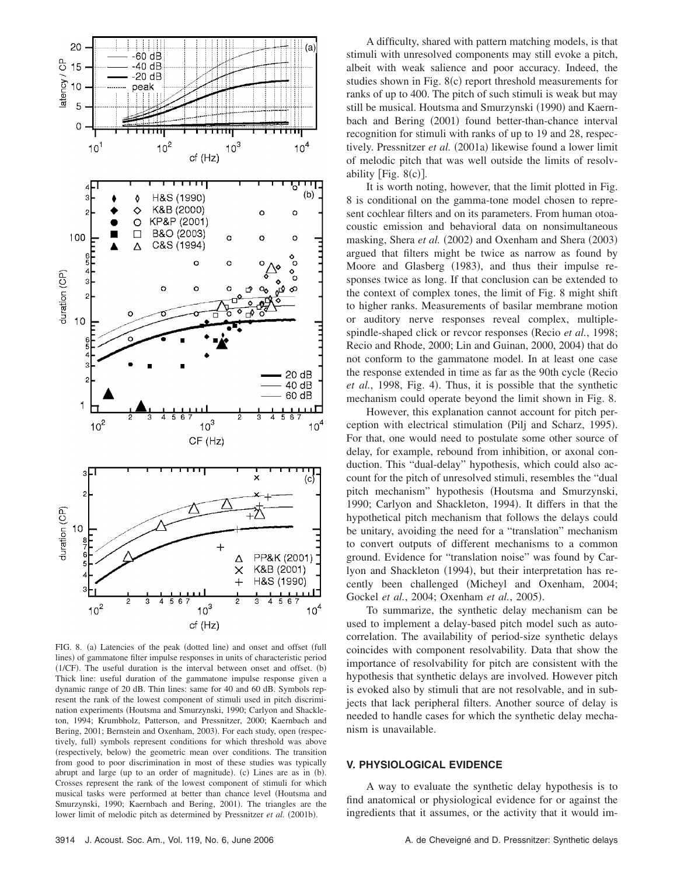

FIG. 8. (a) Latencies of the peak (dotted line) and onset and offset (full lines) of gammatone filter impulse responses in units of characteristic period (1/CF). The useful duration is the interval between onset and offset. (b) Thick line: useful duration of the gammatone impulse response given a dynamic range of 20 dB. Thin lines: same for 40 and 60 dB. Symbols represent the rank of the lowest component of stimuli used in pitch discrimination experiments (Houtsma and Smurzynski, 1990; Carlyon and Shackleton, 1994; Krumbholz, Patterson, and Pressnitzer, 2000; Kaernbach and Bering, 2001; Bernstein and Oxenham, 2003). For each study, open (respectively, full) symbols represent conditions for which threshold was above (respectively, below) the geometric mean over conditions. The transition from good to poor discrimination in most of these studies was typically abrupt and large (up to an order of magnitude). (c) Lines are as in (b). Crosses represent the rank of the lowest component of stimuli for which musical tasks were performed at better than chance level Houtsma and Smurzynski, 1990; Kaernbach and Bering, 2001). The triangles are the lower limit of melodic pitch as determined by Pressnitzer et al. (2001b).

A difficulty, shared with pattern matching models, is that stimuli with unresolved components may still evoke a pitch, albeit with weak salience and poor accuracy. Indeed, the studies shown in Fig.  $8(c)$  report threshold measurements for ranks of up to 400. The pitch of such stimuli is weak but may still be musical. Houtsma and Smurzynski (1990) and Kaernbach and Bering (2001) found better-than-chance interval recognition for stimuli with ranks of up to 19 and 28, respectively. Pressnitzer et al. (2001a) likewise found a lower limit of melodic pitch that was well outside the limits of resolvability [Fig. 8(c)].

It is worth noting, however, that the limit plotted in Fig. 8 is conditional on the gamma-tone model chosen to represent cochlear filters and on its parameters. From human otoacoustic emission and behavioral data on nonsimultaneous masking, Shera et al. (2002) and Oxenham and Shera (2003) argued that filters might be twice as narrow as found by Moore and Glasberg (1983), and thus their impulse responses twice as long. If that conclusion can be extended to the context of complex tones, the limit of Fig. 8 might shift to higher ranks. Measurements of basilar membrane motion or auditory nerve responses reveal complex, multiplespindle-shaped click or revcor responses (Recio *et al.*, 1998; Recio and Rhode, 2000; Lin and Guinan, 2000, 2004) that do not conform to the gammatone model. In at least one case the response extended in time as far as the 90th cycle (Recio et al., 1998, Fig. 4). Thus, it is possible that the synthetic mechanism could operate beyond the limit shown in Fig. 8.

However, this explanation cannot account for pitch perception with electrical stimulation (Pilj and Scharz, 1995). For that, one would need to postulate some other source of delay, for example, rebound from inhibition, or axonal conduction. This "dual-delay" hypothesis, which could also account for the pitch of unresolved stimuli, resembles the "dual pitch mechanism" hypothesis (Houtsma and Smurzynski, 1990; Carlyon and Shackleton, 1994). It differs in that the hypothetical pitch mechanism that follows the delays could be unitary, avoiding the need for a "translation" mechanism to convert outputs of different mechanisms to a common ground. Evidence for "translation noise" was found by Carlyon and Shackleton (1994), but their interpretation has recently been challenged Micheyl and Oxenham, 2004; Gockel et al., 2004; Oxenham et al., 2005).

To summarize, the synthetic delay mechanism can be used to implement a delay-based pitch model such as autocorrelation. The availability of period-size synthetic delays coincides with component resolvability. Data that show the importance of resolvability for pitch are consistent with the hypothesis that synthetic delays are involved. However pitch is evoked also by stimuli that are not resolvable, and in subjects that lack peripheral filters. Another source of delay is needed to handle cases for which the synthetic delay mechanism is unavailable.

# **V. PHYSIOLOGICAL EVIDENCE**

A way to evaluate the synthetic delay hypothesis is to find anatomical or physiological evidence for or against the ingredients that it assumes, or the activity that it would im-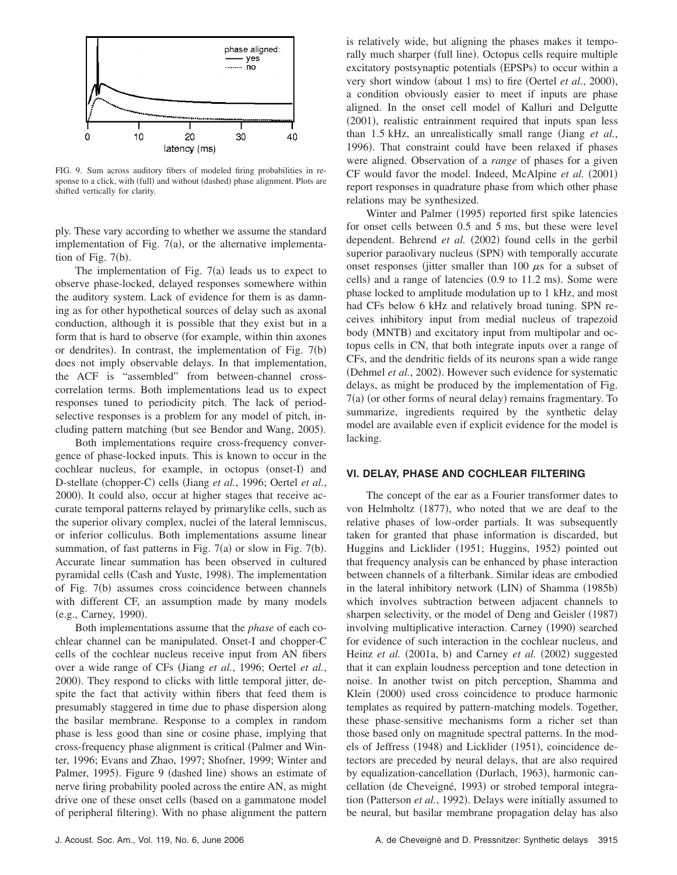

FIG. 9. Sum across auditory fibers of modeled firing probabilities in response to a click, with (full) and without (dashed) phase alignment. Plots are shifted vertically for clarity.

ply. These vary according to whether we assume the standard implementation of Fig.  $7(a)$ , or the alternative implementation of Fig.  $7(b)$ .

The implementation of Fig.  $7(a)$  leads us to expect to observe phase-locked, delayed responses somewhere within the auditory system. Lack of evidence for them is as damning as for other hypothetical sources of delay such as axonal conduction, although it is possible that they exist but in a form that is hard to observe (for example, within thin axones or dendrites). In contrast, the implementation of Fig.  $7(b)$ does not imply observable delays. In that implementation, the ACF is "assembled" from between-channel crosscorrelation terms. Both implementations lead us to expect responses tuned to periodicity pitch. The lack of periodselective responses is a problem for any model of pitch, including pattern matching (but see Bendor and Wang, 2005).

Both implementations require cross-frequency convergence of phase-locked inputs. This is known to occur in the cochlear nucleus, for example, in octopus (onset-I) and D-stellate (chopper-C) cells (Jiang et al., 1996; Oertel et al., 2000). It could also, occur at higher stages that receive accurate temporal patterns relayed by primarylike cells, such as the superior olivary complex, nuclei of the lateral lemniscus, or inferior colliculus. Both implementations assume linear summation, of fast patterns in Fig.  $7(a)$  or slow in Fig.  $7(b)$ . Accurate linear summation has been observed in cultured pyramidal cells (Cash and Yuste, 1998). The implementation of Fig. 7(b) assumes cross coincidence between channels with different CF, an assumption made by many models (e.g., Carney, 1990).

Both implementations assume that the *phase* of each cochlear channel can be manipulated. Onset-I and chopper-C cells of the cochlear nucleus receive input from AN fibers over a wide range of CFs Jiang *et al.*, 1996; Oertel *et al.*, 2000). They respond to clicks with little temporal jitter, despite the fact that activity within fibers that feed them is presumably staggered in time due to phase dispersion along the basilar membrane. Response to a complex in random phase is less good than sine or cosine phase, implying that cross-frequency phase alignment is critical (Palmer and Winter, 1996; Evans and Zhao, 1997; Shofner, 1999; Winter and Palmer, 1995). Figure 9 (dashed line) shows an estimate of nerve firing probability pooled across the entire AN, as might drive one of these onset cells (based on a gammatone model of peripheral filtering). With no phase alignment the pattern

is relatively wide, but aligning the phases makes it temporally much sharper (full line). Octopus cells require multiple excitatory postsynaptic potentials (EPSPs) to occur within a very short window (about 1 ms) to fire (Oertel et al., 2000), a condition obviously easier to meet if inputs are phase aligned. In the onset cell model of Kalluri and Delgutte (2001), realistic entrainment required that inputs span less than 1.5 kHz, an unrealistically small range (Jiang et al., 1996). That constraint could have been relaxed if phases were aligned. Observation of a *range* of phases for a given CF would favor the model. Indeed, McAlpine et al. (2001) report responses in quadrature phase from which other phase relations may be synthesized.

Winter and Palmer (1995) reported first spike latencies for onset cells between 0.5 and 5 ms, but these were level dependent. Behrend et al. (2002) found cells in the gerbil superior paraolivary nucleus (SPN) with temporally accurate onset responses (jitter smaller than 100  $\mu$ s for a subset of cells) and a range of latencies (0.9 to 11.2 ms). Some were phase locked to amplitude modulation up to 1 kHz, and most had CFs below 6 kHz and relatively broad tuning. SPN receives inhibitory input from medial nucleus of trapezoid body (MNTB) and excitatory input from multipolar and octopus cells in CN, that both integrate inputs over a range of CFs, and the dendritic fields of its neurons span a wide range (Dehmel et al., 2002). However such evidence for systematic delays, as might be produced by the implementation of Fig. 7(a) (or other forms of neural delay) remains fragmentary. To summarize, ingredients required by the synthetic delay model are available even if explicit evidence for the model is lacking.

# **VI. DELAY, PHASE AND COCHLEAR FILTERING**

The concept of the ear as a Fourier transformer dates to von Helmholtz (1877), who noted that we are deaf to the relative phases of low-order partials. It was subsequently taken for granted that phase information is discarded, but Huggins and Licklider (1951; Huggins, 1952) pointed out that frequency analysis can be enhanced by phase interaction between channels of a filterbank. Similar ideas are embodied in the lateral inhibitory network (LIN) of Shamma (1985b) which involves subtraction between adjacent channels to sharpen selectivity, or the model of Deng and Geisler (1987) involving multiplicative interaction. Carney (1990) searched for evidence of such interaction in the cochlear nucleus, and Heinz et al. (2001a, b) and Carney et al. (2002) suggested that it can explain loudness perception and tone detection in noise. In another twist on pitch perception, Shamma and Klein (2000) used cross coincidence to produce harmonic templates as required by pattern-matching models. Together, these phase-sensitive mechanisms form a richer set than those based only on magnitude spectral patterns. In the models of Jeffress (1948) and Licklider (1951), coincidence detectors are preceded by neural delays, that are also required by equalization-cancellation (Durlach, 1963), harmonic cancellation (de Cheveigné, 1993) or strobed temporal integration (Patterson et al., 1992). Delays were initially assumed to be neural, but basilar membrane propagation delay has also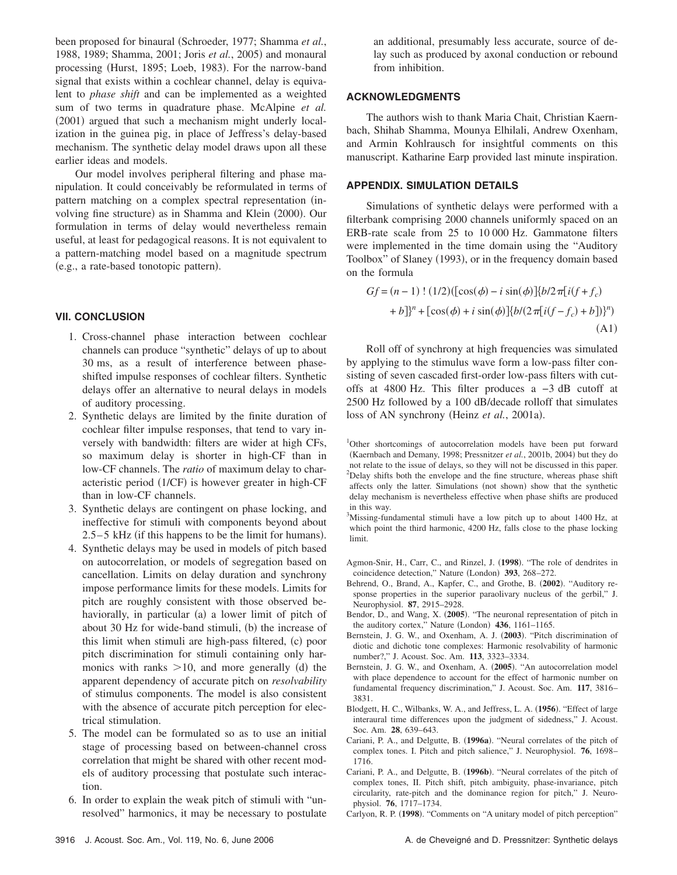been proposed for binaural (Schroeder, 1977; Shamma et al., 1988, 1989; Shamma, 2001; Joris et al., 2005) and monaural processing (Hurst, 1895; Loeb, 1983). For the narrow-band signal that exists within a cochlear channel, delay is equivalent to *phase shift* and can be implemented as a weighted sum of two terms in quadrature phase. McAlpine *et al.* (2001) argued that such a mechanism might underly localization in the guinea pig, in place of Jeffress's delay-based mechanism. The synthetic delay model draws upon all these earlier ideas and models.

Our model involves peripheral filtering and phase manipulation. It could conceivably be reformulated in terms of pattern matching on a complex spectral representation (involving fine structure) as in Shamma and Klein (2000). Our formulation in terms of delay would nevertheless remain useful, at least for pedagogical reasons. It is not equivalent to a pattern-matching model based on a magnitude spectrum (e.g., a rate-based tonotopic pattern).

# **VII. CONCLUSION**

- 1. Cross-channel phase interaction between cochlear channels can produce "synthetic" delays of up to about 30 ms, as a result of interference between phaseshifted impulse responses of cochlear filters. Synthetic delays offer an alternative to neural delays in models of auditory processing.
- 2. Synthetic delays are limited by the finite duration of cochlear filter impulse responses, that tend to vary inversely with bandwidth: filters are wider at high CFs, so maximum delay is shorter in high-CF than in low-CF channels. The *ratio* of maximum delay to characteristic period (1/CF) is however greater in high-CF than in low-CF channels.
- 3. Synthetic delays are contingent on phase locking, and ineffective for stimuli with components beyond about  $2.5 - 5$  kHz (if this happens to be the limit for humans).
- 4. Synthetic delays may be used in models of pitch based on autocorrelation, or models of segregation based on cancellation. Limits on delay duration and synchrony impose performance limits for these models. Limits for pitch are roughly consistent with those observed behaviorally, in particular (a) a lower limit of pitch of about 30 Hz for wide-band stimuli, (b) the increase of this limit when stimuli are high-pass filtered, (c) poor pitch discrimination for stimuli containing only harmonics with ranks  $>10$ , and more generally (d) the apparent dependency of accurate pitch on *resolvability* of stimulus components. The model is also consistent with the absence of accurate pitch perception for electrical stimulation.
- 5. The model can be formulated so as to use an initial stage of processing based on between-channel cross correlation that might be shared with other recent models of auditory processing that postulate such interaction.
- 6. In order to explain the weak pitch of stimuli with "unresolved" harmonics, it may be necessary to postulate

an additional, presumably less accurate, source of delay such as produced by axonal conduction or rebound from inhibition.

# **ACKNOWLEDGMENTS**

The authors wish to thank Maria Chait, Christian Kaernbach, Shihab Shamma, Mounya Elhilali, Andrew Oxenham, and Armin Kohlrausch for insightful comments on this manuscript. Katharine Earp provided last minute inspiration.

# **APPENDIX. SIMULATION DETAILS**

Simulations of synthetic delays were performed with a filterbank comprising 2000 channels uniformly spaced on an ERB-rate scale from 25 to 10 000 Hz. Gammatone filters were implemented in the time domain using the "Auditory Toolbox" of Slaney (1993), or in the frequency domain based on the formula

$$
Gf = (n-1)!(1/2)([\cos(\phi) - i \sin(\phi)]\{b/2\pi[i(f+f_c) + b]\}^n + [\cos(\phi) + i \sin(\phi)]\{b/(2\pi[i(f-f_c) + b])\}^n)
$$
\n(A1)

Roll off of synchrony at high frequencies was simulated by applying to the stimulus wave form a low-pass filter consisting of seven cascaded first-order low-pass filters with cutoffs at 4800 Hz. This filter produces a −3 dB cutoff at 2500 Hz followed by a 100 dB/decade rolloff that simulates loss of AN synchrony (Heinz et al., 2001a).

- <sup>1</sup>Other shortcomings of autocorrelation models have been put forward (Kaernbach and Demany, 1998; Pressnitzer et al., 2001b, 2004) but they do not relate to the issue of delays, so they will not be discussed in this paper.  $2$ Delay shifts both the envelope and the fine structure, whereas phase shift affects only the latter. Simulations (not shown) show that the synthetic delay mechanism is nevertheless effective when phase shifts are produced in this way.
- <sup>3</sup>Missing-fundamental stimuli have a low pitch up to about 1400 Hz, at which point the third harmonic, 4200 Hz, falls close to the phase locking limit.
- Agmon-Snir, H., Carr, C., and Rinzel, J. (1998). "The role of dendrites in coincidence detection," Nature (London) 393, 268-272.
- Behrend, O., Brand, A., Kapfer, C., and Grothe, B. (2002). "Auditory response properties in the superior paraolivary nucleus of the gerbil," J. Neurophysiol. **87**, 2915–2928.
- Bendor, D., and Wang, X. (2005). "The neuronal representation of pitch in the auditory cortex," Nature (London) 436, 1161-1165.
- Bernstein, J. G. W., and Oxenham, A. J. (2003). "Pitch discrimination of diotic and dichotic tone complexes: Harmonic resolvability of harmonic number?," J. Acoust. Soc. Am. **113**, 3323–3334.
- Bernstein, J. G. W., and Oxenham, A. (2005). "An autocorrelation model with place dependence to account for the effect of harmonic number on fundamental frequency discrimination," J. Acoust. Soc. Am. **117**, 3816– 3831.
- Blodgett, H. C., Wilbanks, W. A., and Jeffress, L. A. (1956). "Effect of large interaural time differences upon the judgment of sidedness," J. Acoust. Soc. Am. **28**, 639–643.
- Cariani, P. A., and Delgutte, B. (1996a). "Neural correlates of the pitch of complex tones. I. Pitch and pitch salience," J. Neurophysiol. **76**, 1698– 1716.
- Cariani, P. A., and Delgutte, B. (1996b). "Neural correlates of the pitch of complex tones, II. Pitch shift, pitch ambiguity, phase-invariance, pitch circularity, rate-pitch and the dominance region for pitch," J. Neurophysiol. **76**, 1717–1734.
- Carlyon, R. P. (1998). "Comments on "A unitary model of pitch perception"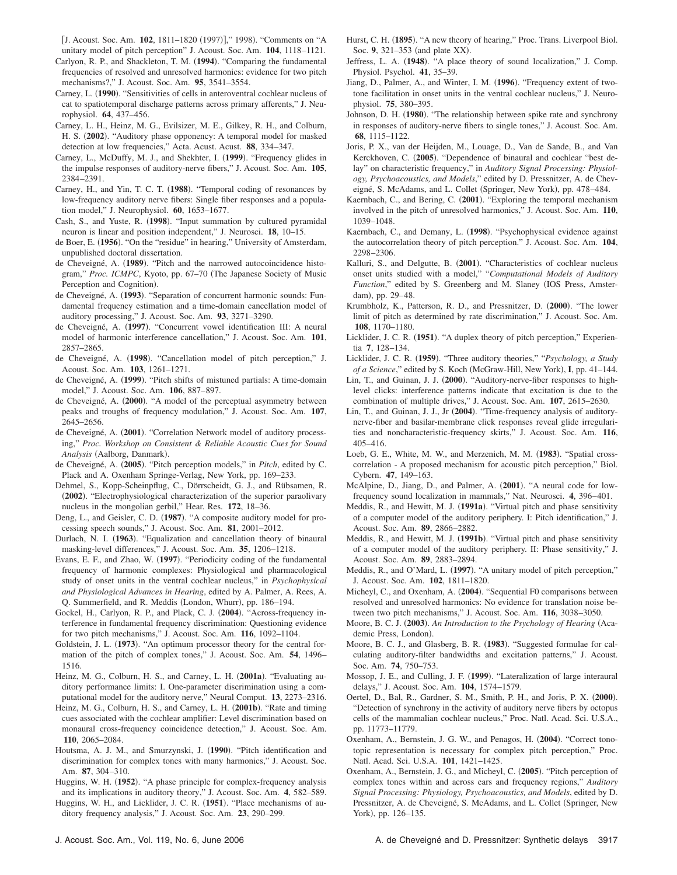[J. Acoust. Soc. Am. 102, 1811-1820 (1997)]," 1998). "Comments on "A unitary model of pitch perception" J. Acoust. Soc. Am. **104**, 1118–1121.

- Carlyon, R. P., and Shackleton, T. M. (1994). "Comparing the fundamental frequencies of resolved and unresolved harmonics: evidence for two pitch mechanisms?," J. Acoust. Soc. Am. **95**, 3541–3554.
- Carney, L. (1990). "Sensitivities of cells in anteroventral cochlear nucleus of cat to spatiotemporal discharge patterns across primary afferents," J. Neurophysiol. **64**, 437–456.
- Carney, L. H., Heinz, M. G., Evilsizer, M. E., Gilkey, R. H., and Colburn, H. S. (2002). "Auditory phase opponency: A temporal model for masked detection at low frequencies," Acta. Acust. Acust. **88**, 334–347.
- Carney, L., McDuffy, M. J., and Shekhter, I. (1999). "Frequency glides in the impulse responses of auditory-nerve fibers," J. Acoust. Soc. Am. **105**, 2384–2391.
- Carney, H., and Yin, T. C. T. (1988). "Temporal coding of resonances by low-frequency auditory nerve fibers: Single fiber responses and a population model," J. Neurophysiol. **60**, 1653–1677.
- Cash, S., and Yuste, R. (1998). "Input summation by cultured pyramidal neuron is linear and position independent," J. Neurosci. **18**, 10–15.
- de Boer, E. (1956). "On the "residue" in hearing," University of Amsterdam, unpublished doctoral dissertation.
- de Cheveigné, A. (1989). "Pitch and the narrowed autocoincidence histogram," Proc. ICMPC, Kyoto, pp. 67-70 (The Japanese Society of Music Perception and Cognition).
- de Cheveigné, A. (1993). "Separation of concurrent harmonic sounds: Fundamental frequency estimation and a time-domain cancellation model of auditory processing," J. Acoust. Soc. Am. **93**, 3271–3290.
- de Cheveigné, A. (1997). "Concurrent vowel identification III: A neural model of harmonic interference cancellation," J. Acoust. Soc. Am. **101**, 2857–2865.
- de Cheveigné, A. (1998). "Cancellation model of pitch perception," J. Acoust. Soc. Am. **103**, 1261–1271.
- de Cheveigné, A. (1999). "Pitch shifts of mistuned partials: A time-domain model," J. Acoust. Soc. Am. **106**, 887–897.
- de Cheveigné, A. (2000). "A model of the perceptual asymmetry between peaks and troughs of frequency modulation," J. Acoust. Soc. Am. **107**, 2645–2656.
- de Cheveigné, A. (2001). "Correlation Network model of auditory processing," *Proc. Workshop on Consistent & Reliable Acoustic Cues for Sound* Analysis (Aalborg, Danmark).
- de Cheveigné, A. (2005). "Pitch perception models," in *Pitch*, edited by C. Plack and A. Oxenham Springe-Verlag, New York, pp. 169–233.
- Dehmel, S., Kopp-Scheinpflug, C., Dörrscheidt, G. J., and Rübsamen, R. (2002). "Electrophysiological characterization of the superior paraolivary nucleus in the mongolian gerbil," Hear. Res. **172**, 18–36.
- Deng, L., and Geisler, C. D. (1987). "A composite auditory model for processing speech sounds," J. Acoust. Soc. Am. **81**, 2001–2012.
- Durlach, N. I. (1963). "Equalization and cancellation theory of binaural masking-level differences," J. Acoust. Soc. Am. **35**, 1206–1218.
- Evans, E. F., and Zhao, W. (1997). "Periodicity coding of the fundamental frequency of harmonic complexes: Physiological and pharmacological study of onset units in the ventral cochlear nucleus," in *Psychophysical and Physiological Advances in Hearing*, edited by A. Palmer, A. Rees, A. Q. Summerfield, and R. Meddis (London, Whurr), pp. 186-194.
- Gockel, H., Carlyon, R. P., and Plack, C. J. (2004). "Across-frequency interference in fundamental frequency discrimination: Questioning evidence for two pitch mechanisms," J. Acoust. Soc. Am. **116**, 1092–1104.
- Goldstein, J. L. (1973). "An optimum processor theory for the central formation of the pitch of complex tones," J. Acoust. Soc. Am. **54**, 1496– 1516.
- Heinz, M. G., Colburn, H. S., and Carney, L. H. (2001a). "Evaluating auditory performance limits: I. One-parameter discrimination using a computational model for the auditory nerve," Neural Comput. **13**, 2273–2316.
- Heinz, M. G., Colburn, H. S., and Carney, L. H. (2001b). "Rate and timing cues associated with the cochlear amplifier: Level discrimination based on monaural cross-frequency coincidence detection," J. Acoust. Soc. Am. **110**, 2065–2084.
- Houtsma, A. J. M., and Smurzynski, J. (1990). "Pitch identification and discrimination for complex tones with many harmonics," J. Acoust. Soc. Am. **87**, 304–310.
- Huggins, W. H. (1952). "A phase principle for complex-frequency analysis and its implications in auditory theory," J. Acoust. Soc. Am. **4**, 582–589.
- Huggins, W. H., and Licklider, J. C. R. (1951). "Place mechanisms of auditory frequency analysis," J. Acoust. Soc. Am. **23**, 290–299.
- Hurst, C. H. (1895). "A new theory of hearing," Proc. Trans. Liverpool Biol. Soc. 9, 321-353 (and plate XX).
- Jeffress, L. A. (1948). "A place theory of sound localization," J. Comp. Physiol. Psychol. **41**, 35–39.
- Jiang, D., Palmer, A., and Winter, I. M. (1996). "Frequency extent of twotone facilitation in onset units in the ventral cochlear nucleus," J. Neurophysiol. **75**, 380–395.
- Johnson, D. H. (1980). "The relationship between spike rate and synchrony in responses of auditory-nerve fibers to single tones," J. Acoust. Soc. Am. **68**, 1115–1122.
- Joris, P. X., van der Heijden, M., Louage, D., Van de Sande, B., and Van Kerckhoven, C. (2005). "Dependence of binaural and cochlear "best delay" on characteristic frequency," in *Auditory Signal Processing: Physiology, Psychoacoustics, and Models*," edited by D. Pressnitzer, A. de Cheveigné, S. McAdams, and L. Collet (Springer, New York), pp. 478-484.
- Kaernbach, C., and Bering, C. (2001). "Exploring the temporal mechanism involved in the pitch of unresolved harmonics," J. Acoust. Soc. Am. **110**, 1039–1048.
- Kaernbach, C., and Demany, L. (1998). "Psychophysical evidence against the autocorrelation theory of pitch perception." J. Acoust. Soc. Am. **104**, 2298–2306.
- Kalluri, S., and Delgutte, B. (2001). "Characteristics of cochlear nucleus onset units studied with a model," "*Computational Models of Auditory Function*," edited by S. Greenberg and M. Slaney (IOS Press, Amsterdam), pp. 29-48.
- Krumbholz, K., Patterson, R. D., and Pressnitzer, D. (2000). "The lower limit of pitch as determined by rate discrimination," J. Acoust. Soc. Am. **108**, 1170–1180.
- Licklider, J. C. R. (1951). "A duplex theory of pitch perception," Experientia **7**, 128–134.
- Licklider, J. C. R. (1959). "Three auditory theories," "*Psychology, a Study* of a Science," edited by S. Koch (McGraw-Hill, New York), I, pp. 41-144.
- Lin, T., and Guinan, J. J. (2000). "Auditory-nerve-fiber responses to highlevel clicks: interference patterns indicate that excitation is due to the combination of multiple drives," J. Acoust. Soc. Am. **107**, 2615–2630.
- Lin, T., and Guinan, J. J., Jr (2004). "Time-frequency analysis of auditorynerve-fiber and basilar-membrane click responses reveal glide irregularities and noncharacteristic-frequency skirts," J. Acoust. Soc. Am. **116**, 405–416.
- Loeb, G. E., White, M. W., and Merzenich, M. M. (1983). "Spatial crosscorrelation - A proposed mechanism for acoustic pitch perception," Biol. Cybern. **47**, 149–163.
- McAlpine, D., Jiang, D., and Palmer, A. (2001). "A neural code for lowfrequency sound localization in mammals," Nat. Neurosci. **4**, 396–401.
- Meddis, R., and Hewitt, M. J. (1991a). "Virtual pitch and phase sensitivity of a computer model of the auditory periphery. I: Pitch identification," J. Acoust. Soc. Am. **89**, 2866–2882.
- Meddis, R., and Hewitt, M. J. (1991b). "Virtual pitch and phase sensitivity of a computer model of the auditory periphery. II: Phase sensitivity," J. Acoust. Soc. Am. **89**, 2883–2894.
- Meddis, R., and O'Mard, L. (1997). "A unitary model of pitch perception," J. Acoust. Soc. Am. **102**, 1811–1820.
- Micheyl, C., and Oxenham, A. (2004). "Sequential F0 comparisons between resolved and unresolved harmonics: No evidence for translation noise between two pitch mechanisms," J. Acoust. Soc. Am. **116**, 3038–3050.
- Moore, B. C. J. (2003). An Introduction to the Psychology of Hearing (Academic Press, London).
- Moore, B. C. J., and Glasberg, B. R. (1983). "Suggested formulae for calculating auditory-filter bandwidths and excitation patterns," J. Acoust. Soc. Am. **74**, 750–753.
- Mossop, J. E., and Culling, J. F. (1999). "Lateralization of large interaural delays," J. Acoust. Soc. Am. **104**, 1574–1579.
- Oertel, D., Bal, R., Gardner, S. M., Smith, P. H., and Joris, P. X. (2000). "Detection of synchrony in the activity of auditory nerve fibers by octopus cells of the mammalian cochlear nucleus," Proc. Natl. Acad. Sci. U.S.A., pp. 11773–11779.
- Oxenham, A., Bernstein, J. G. W., and Penagos, H. (2004). "Correct tonotopic representation is necessary for complex pitch perception," Proc. Natl. Acad. Sci. U.S.A. **101**, 1421–1425.
- Oxenham, A., Bernstein, J. G., and Micheyl, C. (2005). "Pitch perception of complex tones within and across ears and frequency regions," *Auditory Signal Processing: Physiology, Psychoacoustics, and Models*, edited by D. Pressnitzer, A. de Cheveigné, S. McAdams, and L. Collet (Springer, New York), pp. 126-135.